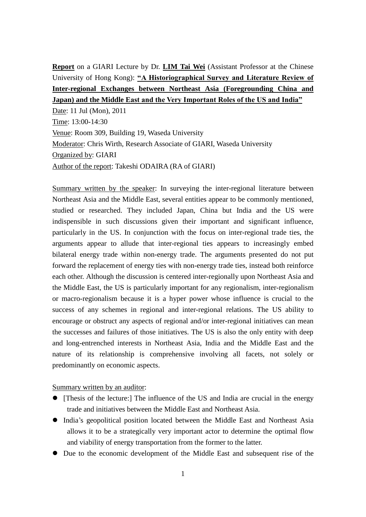**Report** on a GIARI Lecture by Dr. **LIM Tai Wei** (Assistant Professor at the Chinese University of Hong Kong): **"A Historiographical Survey and Literature Review of Inter-regional Exchanges between Northeast Asia (Foregrounding China and Japan) and the Middle East and the Very Important Roles of the US and India"**

Date: 11 Jul (Mon), 2011 Time: 13:00-14:30 Venue: Room 309, Building 19, Waseda University Moderator: Chris Wirth, Research Associate of GIARI, Waseda University Organized by: GIARI Author of the report: Takeshi ODAIRA (RA of GIARI)

Summary written by the speaker: In surveying the inter-regional literature between Northeast Asia and the Middle East, several entities appear to be commonly mentioned, studied or researched. They included Japan, China but India and the US were indispensible in such discussions given their important and significant influence, particularly in the US. In conjunction with the focus on inter-regional trade ties, the arguments appear to allude that inter-regional ties appears to increasingly embed bilateral energy trade within non-energy trade. The arguments presented do not put forward the replacement of energy ties with non-energy trade ties, instead both reinforce each other. Although the discussion is centered inter-regionally upon Northeast Asia and the Middle East, the US is particularly important for any regionalism, inter-regionalism or macro-regionalism because it is a hyper power whose influence is crucial to the success of any schemes in regional and inter-regional relations. The US ability to encourage or obstruct any aspects of regional and/or inter-regional initiatives can mean the successes and failures of those initiatives. The US is also the only entity with deep and long-entrenched interests in Northeast Asia, India and the Middle East and the nature of its relationship is comprehensive involving all facets, not solely or predominantly on economic aspects.

Summary written by an auditor:

- [Thesis of the lecture:] The influence of the US and India are crucial in the energy trade and initiatives between the Middle East and Northeast Asia.
- India's geopolitical position located between the Middle East and Northeast Asia allows it to be a strategically very important actor to determine the optimal flow and viability of energy transportation from the former to the latter.
- Due to the economic development of the Middle East and subsequent rise of the